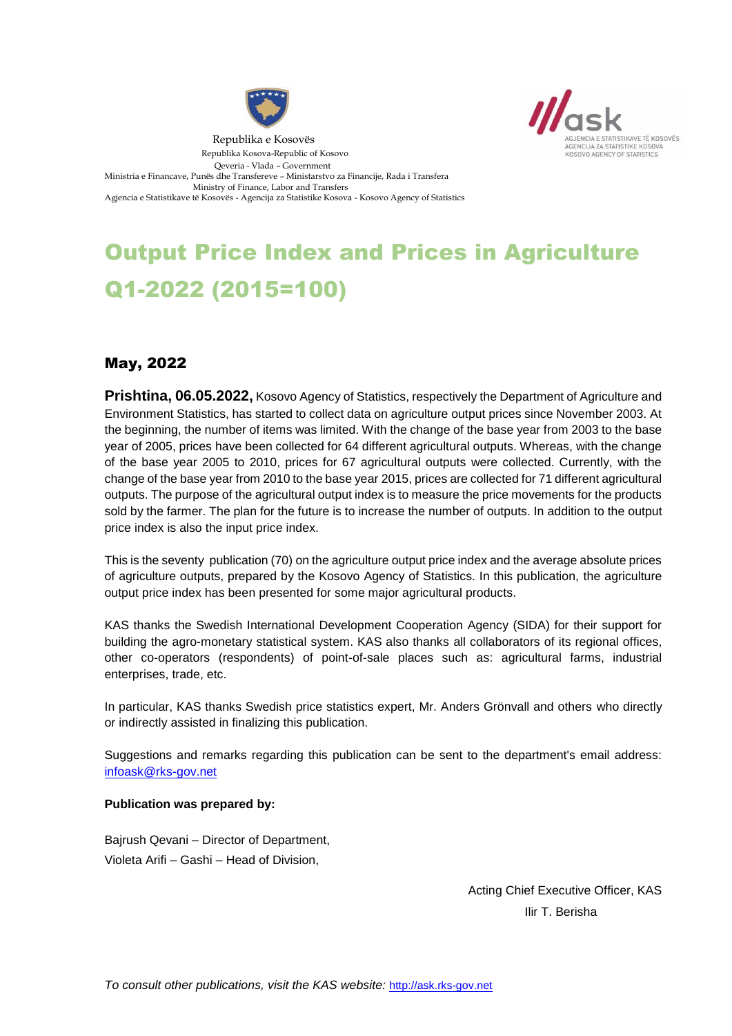



# Output Price Index and Prices in Agriculture Q1-2022 (2015=100)

## May, 2022

**Prishtina, 06.05.2022,** Kosovo Agency of Statistics, respectively the Department of Agriculture and Environment Statistics, has started to collect data on agriculture output prices since November 2003. At the beginning, the number of items was limited. With the change of the base year from 2003 to the base year of 2005, prices have been collected for 64 different agricultural outputs. Whereas, with the change of the base year 2005 to 2010, prices for 67 agricultural outputs were collected. Currently, with the change of the base year from 2010 to the base year 2015, prices are collected for 71 different agricultural outputs. The purpose of the agricultural output index is to measure the price movements for the products sold by the farmer. The plan for the future is to increase the number of outputs. In addition to the output price index is also the input price index.

This is the seventy publication (70) on the agriculture output price index and the average absolute prices of agriculture outputs, prepared by the Kosovo Agency of Statistics. In this publication, the agriculture output price index has been presented for some major agricultural products.

KAS thanks the Swedish International Development Cooperation Agency (SIDA) for their support for building the agro-monetary statistical system. KAS also thanks all collaborators of its regional offices, other co-operators (respondents) of point-of-sale places such as: agricultural farms, industrial enterprises, trade, etc.

In particular, KAS thanks Swedish price statistics expert, Mr. Anders Grönvall and others who directly or indirectly assisted in finalizing this publication.

Suggestions and remarks regarding this publication can be sent to the department's email address: [infoask@rks-gov.net](mailto:infoask@rks-gov.net)

#### **Publication was prepared by:**

Bajrush Qevani – Director of Department, Violeta Arifi – Gashi – Head of Division,

> Acting Chief Executive Officer, KAS Ilir T. Berisha

*To consult other publications, visit the KAS website:* http://ask.rks-gov.net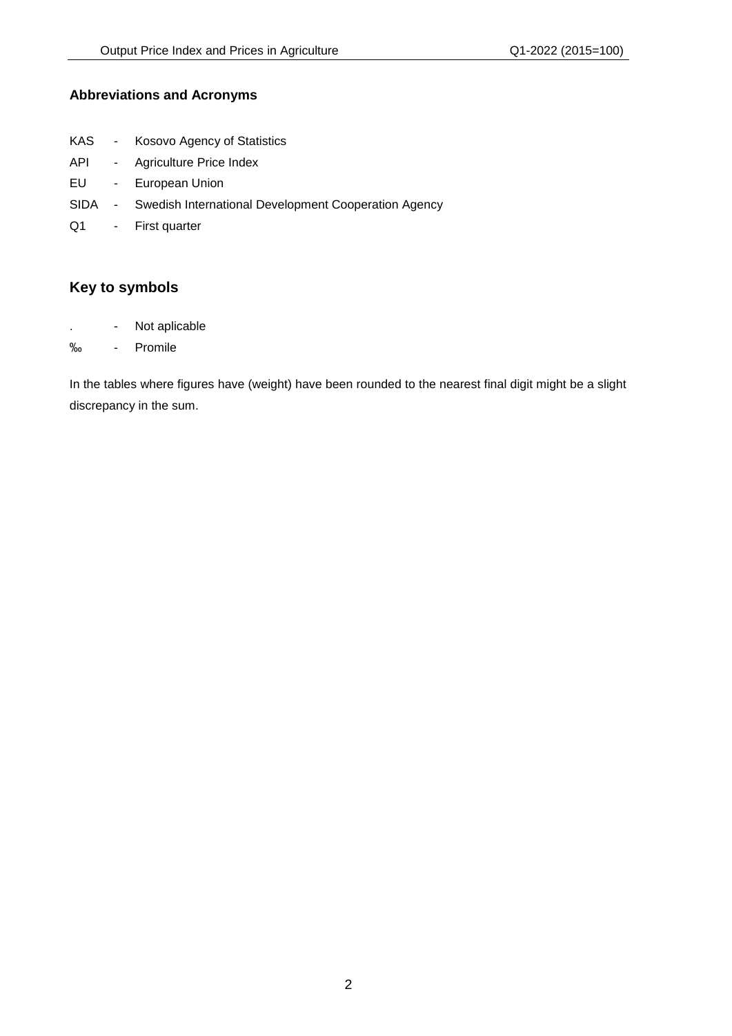## **Abbreviations and Acronyms**

- KAS Kosovo Agency of Statistics
- API Agriculture Price Index
- EU European Union
- SIDA Swedish International Development Cooperation Agency
- Q1 First quarter

## **Key to symbols**

- . Not aplicable
- ‰ Promile

In the tables where figures have (weight) have been rounded to the nearest final digit might be a slight discrepancy in the sum.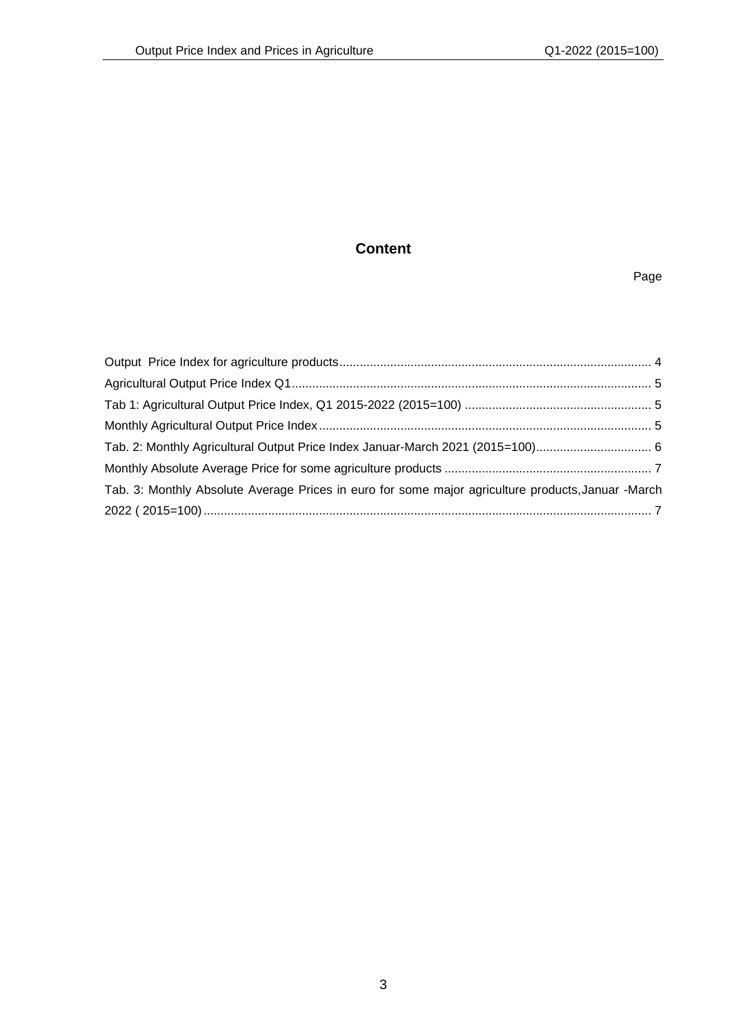## **Content**

#### Page

| Tab. 2: Monthly Agricultural Output Price Index Januar-March 2021 (2015=100) 6                     |  |
|----------------------------------------------------------------------------------------------------|--|
|                                                                                                    |  |
| Tab. 3: Monthly Absolute Average Prices in euro for some major agriculture products, Januar -March |  |
|                                                                                                    |  |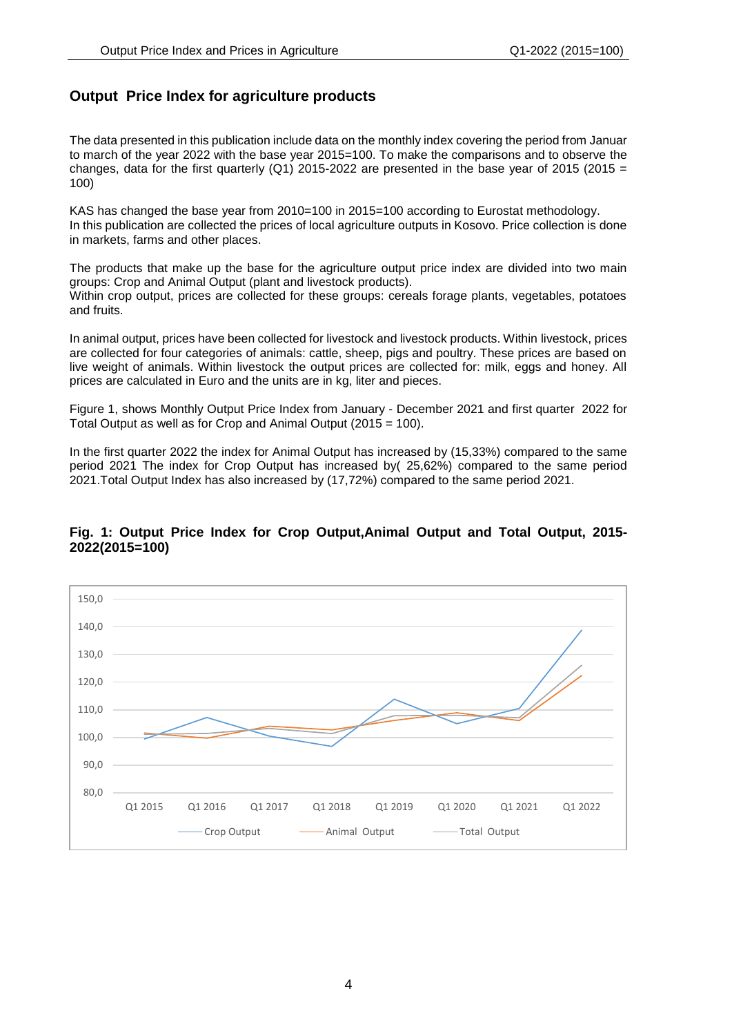## <span id="page-3-0"></span>**Output Price Index for agriculture products**

The data presented in this publication include data on the monthly index covering the period from Januar to march of the year 2022 with the base year 2015=100. To make the comparisons and to observe the changes, data for the first quarterly (Q1) 2015-2022 are presented in the base year of 2015 (2015 = 100)

KAS has changed the base year from 2010=100 in 2015=100 according to Eurostat methodology. In this publication are collected the prices of local agriculture outputs in Kosovo. Price collection is done in markets, farms and other places.

The products that make up the base for the agriculture output price index are divided into two main groups: Crop and Animal Output (plant and livestock products). Within crop output, prices are collected for these groups: cereals forage plants, vegetables, potatoes and fruits.

In animal output, prices have been collected for livestock and livestock products. Within livestock, prices are collected for four categories of animals: cattle, sheep, pigs and poultry. These prices are based on live weight of animals. Within livestock the output prices are collected for: milk, eggs and honey. All prices are calculated in Euro and the units are in kg, liter and pieces.

Figure 1, shows Monthly Output Price Index from January - December 2021 and first quarter 2022 for Total Output as well as for Crop and Animal Output (2015 = 100).

In the first quarter 2022 the index for Animal Output has increased by (15,33%) compared to the same period 2021 The index for Crop Output has increased by( 25,62%) compared to the same period 2021.Total Output Index has also increased by (17,72%) compared to the same period 2021.

#### **Fig. 1: Output Price Index for Crop Output,Animal Output and Total Output, 2015- 2022(2015=100)**

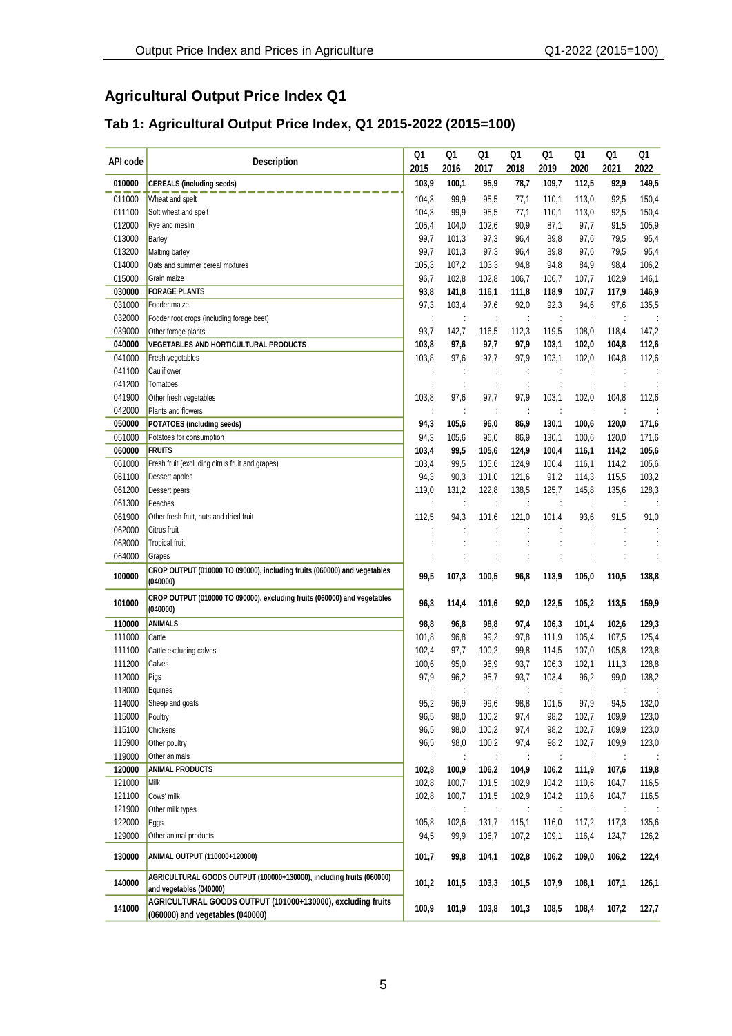## <span id="page-4-1"></span><span id="page-4-0"></span>**Agricultural Output Price Index Q1**

## **Tab 1: Agricultural Output Price Index, Q1 2015-2022 (2015=100)**

<span id="page-4-2"></span>

| API code | <b>Description</b>                                                                              | Q1                   | Q1                   | Q1                   | Q1             | Q1             | Q1             | Q1             | Q1             |
|----------|-------------------------------------------------------------------------------------------------|----------------------|----------------------|----------------------|----------------|----------------|----------------|----------------|----------------|
|          |                                                                                                 | 2015                 | 2016                 | 2017                 | 2018           | 2019           | 2020           | 2021           | 2022           |
| 010000   | <b>CEREALS (including seeds)</b>                                                                | 103,9                | 100,1                | 95,9                 | 78,7           | 109,7          | 112,5          | 92,9           | 149,5          |
| 011000   | Wheat and spelt                                                                                 | 104,3                | 99,9                 | 95,5                 | 77,1           | 110,1          | 113,0          | 92,5           | 150,4          |
| 011100   | Soft wheat and spelt                                                                            | 104,3                | 99,9                 | 95,5                 | 77,1           | 110,1          | 113,0          | 92,5           | 150,4          |
| 012000   | Rye and meslin                                                                                  | 105,4                | 104,0                | 102,6                | 90,9           | 87,1           | 97,7           | 91,5           | 105,9          |
| 013000   | Barley                                                                                          | 99,7                 | 101,3                | 97,3                 | 96,4           | 89,8           | 97,6           | 79,5           | 95,4           |
| 013200   | Malting barley                                                                                  |                      | 101,3                | 97,3                 | 96,4           | 89,8           | 97,6           | 79,5           | 95,4           |
| 014000   | Oats and summer cereal mixtures                                                                 | 105,3                | 107,2                | 103,3                | 94,8           | 94,8           | 84,9           | 98,4           | 106,2          |
| 015000   | Grain maize                                                                                     | 96,7                 | 102,8                | 102,8                | 106,7          | 106,7          | 107,7          | 102,9          | 146,1          |
| 030000   | <b>FORAGE PLANTS</b>                                                                            | 93,8                 | 141,8                | 116,1                | 111,8          | 118,9          | 107,7          | 117,9          | 146,9          |
| 031000   | Fodder maize                                                                                    | 97,3                 | 103,4                | 97,6                 | 92,0           | 92,3           | 94,6           | 97,6           | 135,5          |
| 032000   | Fodder root crops (including forage beet)                                                       |                      |                      |                      |                |                |                |                |                |
| 039000   | Other forage plants                                                                             | 93,7                 | 142,7                | 116,5                | 112,3          | 119,5          | 108,0          | 118,4          | 147,2          |
| 040000   | VEGETABLES AND HORTICULTURAL PRODUCTS                                                           | 103,8                | 97,6                 | 97,7                 | 97,9           | 103,1          | 102,0          | 104,8          | 112,6          |
| 041000   | Fresh vegetables                                                                                | 103,8                | 97,6                 | 97,7                 | 97,9           | 103,1          | 102,0          | 104,8          | 112,6          |
| 041100   | Cauliflower                                                                                     |                      | $\ddot{\phantom{a}}$ | $\ddot{\phantom{a}}$ |                |                |                |                |                |
| 041200   | Tomatoes                                                                                        |                      |                      |                      |                |                |                |                |                |
| 041900   | Other fresh vegetables                                                                          | 103,8                | 97,6                 | 97,7                 | 97,9           | 103,1          | 102,0          | 104,8          | 112,6          |
| 042000   | Plants and flowers                                                                              |                      |                      |                      |                |                |                |                |                |
| 050000   | POTATOES (including seeds)                                                                      | 94,3                 | 105,6                | 96,0                 | 86,9           | 130,1          | 100,6          | 120,0          | 171,6          |
| 051000   | Potatoes for consumption                                                                        | 94,3                 | 105,6                | 96,0                 | 86,9           | 130,1          | 100,6          | 120,0          | 171,6          |
| 060000   | <b>FRUITS</b>                                                                                   | 103,4                | 99,5                 | 105,6                | 124,9          | 100,4          | 116,1          | 114,2          | 105,6          |
| 061000   | Fresh fruit (excluding citrus fruit and grapes)                                                 | 103,4                | 99,5                 | 105,6                | 124,9          | 100,4          | 116,1          | 114,2          | 105,6          |
| 061100   | Dessert apples                                                                                  | 94,3                 | 90,3                 | 101,0                | 121,6          | 91,2           | 114,3          | 115,5          | 103,2          |
| 061200   |                                                                                                 | 119,0                |                      | 122,8                | 138,5          |                |                |                |                |
|          | Dessert pears                                                                                   |                      | 131,2                |                      |                | 125,7          | 145,8          | 135,6          | 128,3          |
| 061300   | Peaches                                                                                         |                      |                      | ÷                    |                |                |                |                |                |
| 061900   | Other fresh fruit, nuts and dried fruit                                                         | 112,5                | 94,3                 | 101,6                | 121,0          | 101,4          | 93,6           | 91,5           | 91,0           |
| 062000   | Citrus fruit                                                                                    | $\ddot{\phantom{0}}$ | $\ddot{\phantom{a}}$ |                      |                |                |                |                |                |
| 063000   | <b>Tropical fruit</b>                                                                           |                      |                      |                      |                |                |                |                |                |
| 064000   | Grapes                                                                                          |                      |                      |                      |                |                |                |                |                |
| 100000   | CROP OUTPUT (010000 TO 090000), including fruits (060000) and vegetables<br>(040000)            | 99,5                 | 107,3                | 100,5                | 96,8           | 113,9          | 105,0          | 110,5          | 138,8          |
| 101000   | CROP OUTPUT (010000 TO 090000), excluding fruits (060000) and vegetables<br>(040000)            | 96,3                 | 114,4                | 101,6                | 92,0           | 122,5          | 105,2          | 113,5          | 159,9          |
| 110000   | <b>ANIMALS</b>                                                                                  | 98,8                 | 96,8                 | 98,8                 | 97,4           | 106,3          | 101,4          | 102,6          | 129,3          |
| 111000   | Cattle                                                                                          | 101,8                | 96,8                 | 99,2                 | 97,8           | 111,9          | 105,4          | 107,5          | 125,4          |
| 111100   | Cattle excluding calves                                                                         | 102,4                | 97,7                 | 100,2                | 99,8           | 114,5          | 107,0          | 105,8          | 123,8          |
| 111200   | Calves                                                                                          | 100,6                | 95,0                 | 96,9                 | 93,7           | 106,3          | 102,1          | 111,3          | 128,8          |
| 112000   | Pigs                                                                                            | 97,9                 | 96,2                 | 95,7                 | 93,7           | 103,4          | 96,2           | 99,0           | 138,2          |
| 113000   | Equines                                                                                         | $\ddot{\cdot}$       | $\ddot{\phantom{a}}$ | ÷                    |                | $\ddot{\cdot}$ | ÷              |                | ÷              |
| 114000   | Sheep and goats                                                                                 | 95,2                 | 96,9                 | 99,6                 | 98,8           | 101,5          | 97,9           | 94,5           | 132,0          |
| 115000   | Poultry                                                                                         | 96,5                 | 98,0                 | 100,2                | 97,4           | 98,2           | 102,7          | 109,9          | 123,0          |
| 115100   | Chickens                                                                                        | 96,5                 | 98,0                 | 100,2                | 97,4           | 98,2           | 102,7          | 109,9          | 123,0          |
| 115900   | Other poultry                                                                                   | 96,5                 | 98,0                 | 100,2                | 97,4           | 98,2           | 102,7          | 109,9          | 123,0          |
| 119000   | Other animals                                                                                   |                      |                      |                      |                |                |                |                |                |
| 120000   | <b>ANIMAL PRODUCTS</b>                                                                          | 102,8                | 100,9                | 106,2                | 104,9          | 106,2          | 111,9          | 107,6          | 119,8          |
| 121000   | Milk                                                                                            | 102,8                | 100,7                | 101,5                | 102,9          | 104,2          | 110,6          | 104,7          | 116,5          |
| 121100   | Cows' milk                                                                                      | 102,8                | 100,7                | 101,5                | 102,9          | 104,2          | 110,6          | 104,7          | 116,5          |
| 121900   | Other milk types                                                                                |                      | $\ddot{\cdot}$       |                      |                | ÷              | ÷              |                |                |
| 122000   |                                                                                                 | 105,8                | 102,6                |                      |                |                |                |                |                |
| 129000   | Eggs<br>Other animal products                                                                   | 94,5                 | 99,9                 | 131,7<br>106,7       | 115,1<br>107,2 | 116,0<br>109,1 | 117,2<br>116,4 | 117,3<br>124,7 | 135,6<br>126,2 |
| 130000   |                                                                                                 | 101,7                |                      |                      |                |                |                |                |                |
|          | ANIMAL OUTPUT (110000+120000)                                                                   |                      | 99,8                 | 104,1                | 102,8          | 106,2          | 109,0          | 106,2          | 122,4          |
| 140000   | AGRICULTURAL GOODS OUTPUT (100000+130000), including fruits (060000)<br>and vegetables (040000) | 101,2                | 101,5                | 103,3                | 101,5          | 107,9          | 108,1          | 107,1          | 126,1          |
| 141000   | AGRICULTURAL GOODS OUTPUT (101000+130000), excluding fruits<br>(060000) and vegetables (040000) | 100,9                | 101,9                | 103,8                | 101,3          | 108,5          | 108,4          | 107,2          | 127,7          |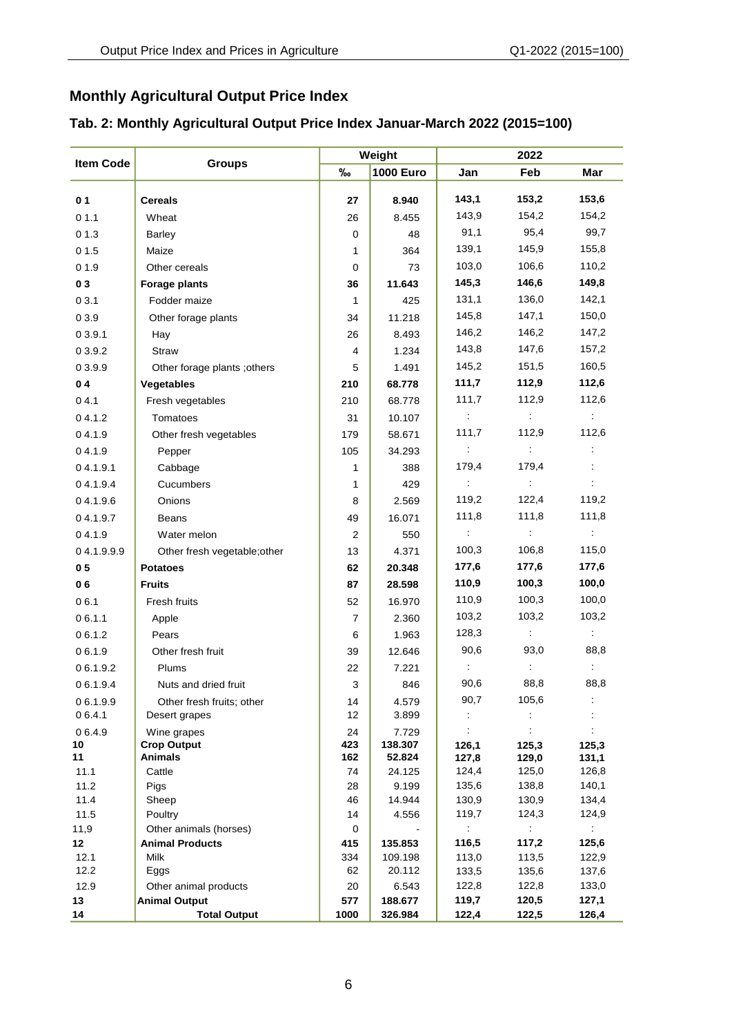## **Monthly Agricultural Output Price Index**

<span id="page-5-1"></span><span id="page-5-0"></span>

|                  |                                      |            | Weight            | 2022                 |                      |                             |  |
|------------------|--------------------------------------|------------|-------------------|----------------------|----------------------|-----------------------------|--|
| <b>Item Code</b> | <b>Groups</b>                        | $\%$       | <b>1000 Euro</b>  | Jan                  | Feb                  | Mar                         |  |
| 0 <sub>1</sub>   | <b>Cereals</b>                       | 27         | 8.940             | 143,1                | 153,2                | 153,6                       |  |
| 01.1             | Wheat                                | 26         | 8.455             | 143,9                | 154,2                | 154,2                       |  |
| 01.3             | <b>Barley</b>                        | 0          | 48                | 91,1                 | 95,4                 | 99,7                        |  |
| 01.5             | Maize                                | 1          | 364               | 139,1                | 145,9                | 155,8                       |  |
| 01.9             | Other cereals                        | 0          | 73                | 103,0                | 106,6                | 110,2                       |  |
| 03               | <b>Forage plants</b>                 | 36         | 11.643            | 145,3                | 146,6                | 149,8                       |  |
| 03.1             | Fodder maize                         | 1          | 425               | 131,1                | 136,0                | 142,1                       |  |
| 0 3.9            | Other forage plants                  | 34         | 11.218            | 145,8                | 147,1                | 150,0                       |  |
| 03.9.1           | Hay                                  | 26         | 8.493             | 146,2                | 146,2                | 147,2                       |  |
| 0 3.9.2          | <b>Straw</b>                         | 4          | 1.234             | 143,8                | 147,6                | 157,2                       |  |
| 03.9.9           | Other forage plants; others          | 5          | 1.491             | 145,2                | 151,5                | 160,5                       |  |
| 04               | Vegetables                           | 210        | 68.778            | 111,7                | 112,9                | 112,6                       |  |
| 04.1             | Fresh vegetables                     | 210        | 68.778            | 111,7                | 112,9                | 112,6                       |  |
| 0,4.1.2          | Tomatoes                             | 31         | 10.107            | $\ddot{\phantom{a}}$ | $\mathcal{L}$        | ÷                           |  |
| 04.1.9           | Other fresh vegetables               | 179        | 58.671            | 111,7                | 112,9                | 112,6                       |  |
| 04.1.9           | Pepper                               | 105        | 34.293            | ÷                    | $\sim 10$            | ÷                           |  |
| 04.1.9.1         | Cabbage                              | 1          | 388               | 179,4                | 179,4                |                             |  |
| 04.1.9.4         | Cucumbers                            | 1          | 429               |                      | $\mathcal{L}$        |                             |  |
| 04.1.9.6         | Onions                               | 8          | 2.569             | 119,2                | 122,4                | 119,2                       |  |
| 04.1.9.7         | Beans                                | 49         | 16.071            | 111,8                | 111,8                | 111,8                       |  |
| 04.1.9           | Water melon                          | 2          | 550               |                      | $\ddot{\phantom{a}}$ | $\mathcal{I}$               |  |
| 04.1.9.9.9       | Other fresh vegetable; other         | 13         | 4.371             | 100,3                | 106,8                | 115,0                       |  |
| 0 <sub>5</sub>   | <b>Potatoes</b>                      | 62         | 20.348            | 177,6                | 177,6                | 177,6                       |  |
| 06               | <b>Fruits</b>                        | 87         | 28.598            | 110,9                | 100,3                | 100,0                       |  |
| 06.1             | Fresh fruits                         | 52         | 16.970            | 110,9                | 100,3                | 100,0                       |  |
| 06.1.1           | Apple                                | 7          | 2.360             | 103,2                | 103,2                | 103,2                       |  |
| 06.1.2           | Pears                                | 6          | 1.963             | 128,3                | $\frac{1}{2}$        | $\mathcal{L}^{\mathcal{L}}$ |  |
| 06.1.9           | Other fresh fruit                    | 39         | 12.646            | 90,6                 | 93,0                 | 88,8                        |  |
| 06.1.9.2         | Plums                                | 22         | 7.221             |                      | ÷                    | ÷                           |  |
| 06.1.9.4         | Nuts and dried fruit                 | 3          | 846               | 90,6                 | 88,8                 | 88,8                        |  |
| 0 6.1.9.9        | Other fresh fruits; other            | 14         | 4.579             | 90,7                 | 105,6                |                             |  |
| 06.4.1           | Desert grapes                        | 12         | 3.899             |                      |                      |                             |  |
| 06.4.9           | Wine grapes                          | 24         | 7.729             |                      |                      |                             |  |
| 10<br>11         | <b>Crop Output</b><br><b>Animals</b> | 423<br>162 | 138.307<br>52.824 | 126,1<br>127,8       | 125,3<br>129,0       | 125,3<br>131,1              |  |
| 11.1             | Cattle                               | 74         | 24.125            | 124,4                | 125,0                | 126,8                       |  |
| 11.2             | Pigs                                 | 28         | 9.199             | 135,6                | 138,8                | 140,1                       |  |
| 11.4             | Sheep                                | 46         | 14.944            | 130,9                | 130,9                | 134,4                       |  |
| 11.5             | Poultry                              | 14         | 4.556             | 119,7                | 124,3                | 124,9                       |  |
| 11,9             | Other animals (horses)               | 0          |                   |                      |                      |                             |  |
| 12 <sub>2</sub>  | <b>Animal Products</b>               | 415        | 135.853           | 116,5                | 117,2                | 125,6                       |  |
| 12.1<br>12.2     | <b>Milk</b><br>Eggs                  | 334<br>62  | 109.198<br>20.112 | 113,0<br>133,5       | 113,5<br>135,6       | 122,9<br>137,6              |  |
| 12.9             | Other animal products                | 20         | 6.543             | 122,8                | 122,8                | 133,0                       |  |
| 13               | <b>Animal Output</b>                 | 577        | 188.677           | 119,7                | 120,5                | 127,1                       |  |
| 14               | <b>Total Output</b>                  | 1000       | 326.984           | 122,4                | 122,5                | 126,4                       |  |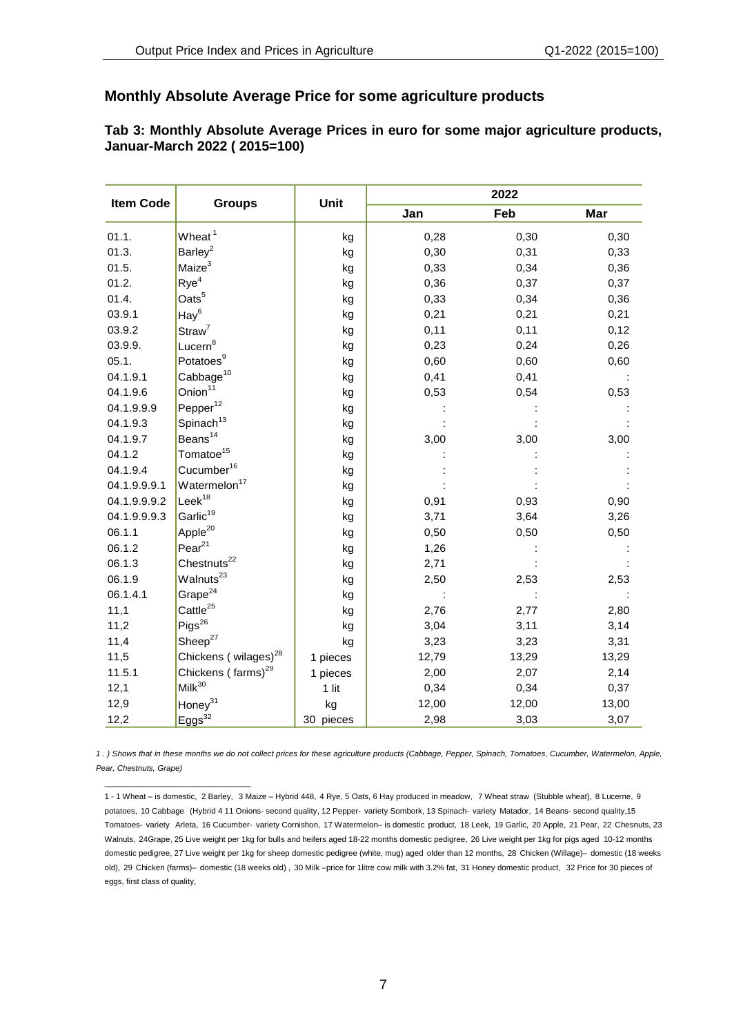## **Monthly Absolute Average Price for some agriculture products**

#### <span id="page-6-0"></span>**Tab 3: Monthly Absolute Average Prices in euro for some major agriculture products, Januar-March 2022 ( 2015=100)**

| <b>Item Code</b> | <b>Groups</b>                    | Unit      | 2022  |       |       |  |  |
|------------------|----------------------------------|-----------|-------|-------|-------|--|--|
|                  |                                  |           | Jan   | Feb   | Mar   |  |  |
| 01.1.            | Wheat <sup>1</sup>               | kg        | 0,28  | 0,30  | 0,30  |  |  |
| 01.3.            | Barley <sup>2</sup>              | kg        | 0,30  | 0,31  | 0,33  |  |  |
| 01.5.            | Maize <sup>3</sup>               | kg        | 0,33  | 0,34  | 0,36  |  |  |
| 01.2.            | $Rye^4$                          | kg        | 0,36  | 0,37  | 0,37  |  |  |
| 01.4.            | Oats <sup>5</sup>                | kg        | 0,33  | 0,34  | 0,36  |  |  |
| 03.9.1           | $\text{Hay}^6$                   | kg        | 0,21  | 0,21  | 0,21  |  |  |
| 03.9.2           | Straw <sup>7</sup>               | kg        | 0,11  | 0,11  | 0,12  |  |  |
| 03.9.9.          | Lucern <sup>8</sup>              | kg        | 0,23  | 0,24  | 0,26  |  |  |
| 05.1.            | Potatoes <sup>9</sup>            | kg        | 0,60  | 0,60  | 0,60  |  |  |
| 04.1.9.1         | Cabbage <sup>10</sup>            | kg        | 0,41  | 0,41  |       |  |  |
| 04.1.9.6         | Onion <sup>11</sup>              | kg        | 0,53  | 0,54  | 0,53  |  |  |
| 04.1.9.9.9       | Pepper <sup>12</sup>             | kg        |       |       |       |  |  |
| 04.1.9.3         | Spinach <sup>13</sup>            | kg        |       |       |       |  |  |
| 04.1.9.7         | Beans <sup>14</sup>              | kg        | 3,00  | 3,00  | 3,00  |  |  |
| 04.1.2           | Tomatoe <sup>15</sup>            | kg        |       |       |       |  |  |
| 04.1.9.4         | Cucumber <sup>16</sup>           | kg        |       |       |       |  |  |
| 04.1.9.9.9.1     | Watermelon <sup>17</sup>         | kg        |       |       |       |  |  |
| 04.1.9.9.9.2     | $Leek^{18}$                      | kg        | 0,91  | 0,93  | 0,90  |  |  |
| 04.1.9.9.9.3     | Garlic <sup>19</sup>             | kg        | 3,71  | 3,64  | 3,26  |  |  |
| 06.1.1           | Apple <sup>20</sup>              | kg        | 0,50  | 0,50  | 0,50  |  |  |
| 06.1.2           | Pear <sup>21</sup>               | kg        | 1,26  |       |       |  |  |
| 06.1.3           | Chestnuts <sup>22</sup>          | kg        | 2,71  |       |       |  |  |
| 06.1.9           | $W$ alnuts $^{23}$               | kg        | 2,50  | 2,53  | 2,53  |  |  |
| 06.1.4.1         | Grape $^{24}$                    | kg        |       |       |       |  |  |
| 11,1             | Cattle <sup>25</sup>             | kg        | 2,76  | 2,77  | 2,80  |  |  |
| 11,2             | $Pigs^{26}$                      | kg        | 3,04  | 3,11  | 3,14  |  |  |
| 11,4             | Sheep <sup>27</sup>              | kg        | 3,23  | 3,23  | 3,31  |  |  |
| 11,5             | Chickens (wilages) <sup>28</sup> | 1 pieces  | 12,79 | 13,29 | 13,29 |  |  |
| 11.5.1           | Chickens (farms) <sup>29</sup>   | 1 pieces  | 2,00  | 2,07  | 2,14  |  |  |
| 12,1             | Milk <sup>30</sup>               | $1$ lit   | 0,34  | 0,34  | 0,37  |  |  |
| 12,9             | Honey <sup>31</sup>              | kg        | 12,00 | 12,00 | 13,00 |  |  |
| 12,2             | $Eggs^{32}$                      | 30 pieces | 2,98  | 3,03  | 3,07  |  |  |

*1 . ) Shows that in these months we do not collect prices for these agriculture products (Cabbage, Pepper, Spinach, Tomatoes, Cucumber, Watermelon, Apple, Pear, Chestnuts, Grape)*

\_\_\_\_\_\_\_\_\_\_\_\_\_\_\_\_\_\_\_\_\_\_\_\_\_\_\_\_\_\_\_\_\_

<sup>1 -</sup> 1 Wheat – is domestic, 2 Barley, 3 Maize – Hybrid 448, 4 Rye, 5 Oats, 6 Hay produced in meadow, 7 Wheat straw (Stubble wheat), 8 Lucerne, 9 potatoes, 10 Cabbage (Hybrid 4 11 Onions- second quality, 12 Pepper- variety Sombork, 13 Spinach- variety Matador, 14 Beans- second quality,15 Tomatoes- variety Arleta, 16 Cucumber- variety Cornishon, 17 Watermelon– is domestic product, 18 Leek, 19 Garlic, 20 Apple, 21 Pear, 22 Chesnuts, 23 Walnuts, 24Grape, 25 Live weight per 1kg for bulls and heifers aged 18-22 months domestic pedigree, 26 Live weight per 1kg for pigs aged 10-12 months domestic pedigree, 27 Live weight per 1kg for sheep domestic pedigree (white, mug) aged older than 12 months, 28 Chicken (Willage)– domestic (18 weeks old), 29 Chicken (farms)– domestic (18 weeks old) , 30 Milk –price for 1litre cow milk with 3.2% fat, 31 Honey domestic product, 32 Price for 30 pieces of eggs, first class of quality,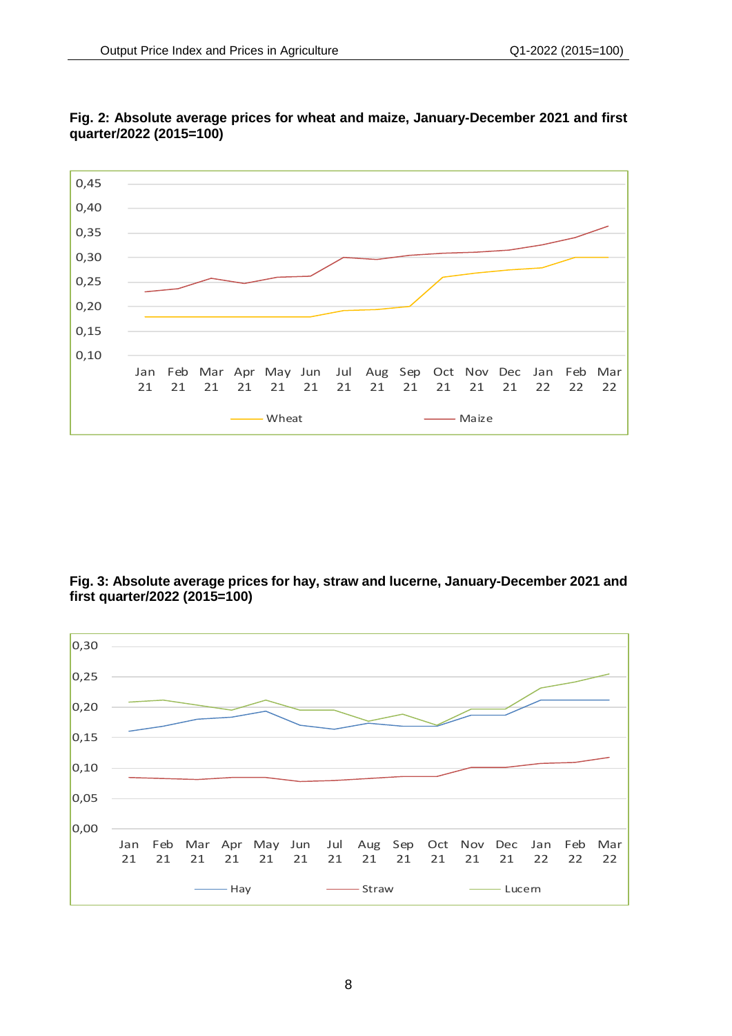

## **Fig. 2: Absolute average prices for wheat and maize, January-December 2021 and first quarter/2022 (2015=100)**

**Fig. 3: Absolute average prices for hay, straw and lucerne, January-December 2021 and first quarter/2022 (2015=100)** 

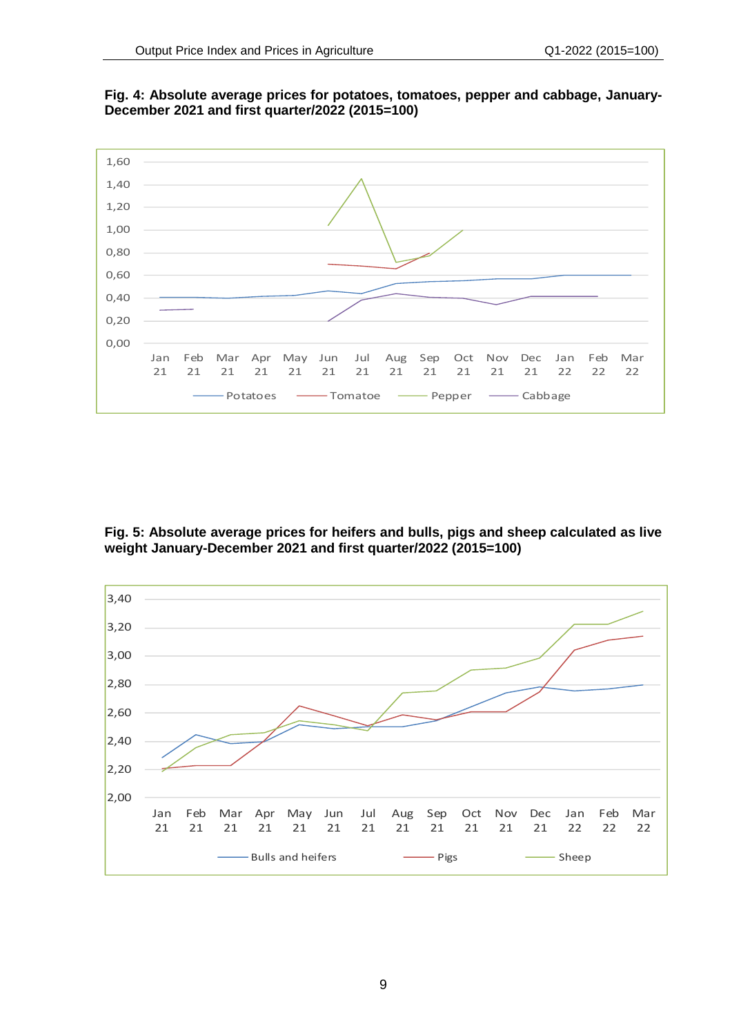

**Fig. 4: Absolute average prices for potatoes, tomatoes, pepper and cabbage, January-December 2021 and first quarter/2022 (2015=100)** 

**Fig. 5: Absolute average prices for heifers and bulls, pigs and sheep calculated as live weight January-December 2021 and first quarter/2022 (2015=100)** 

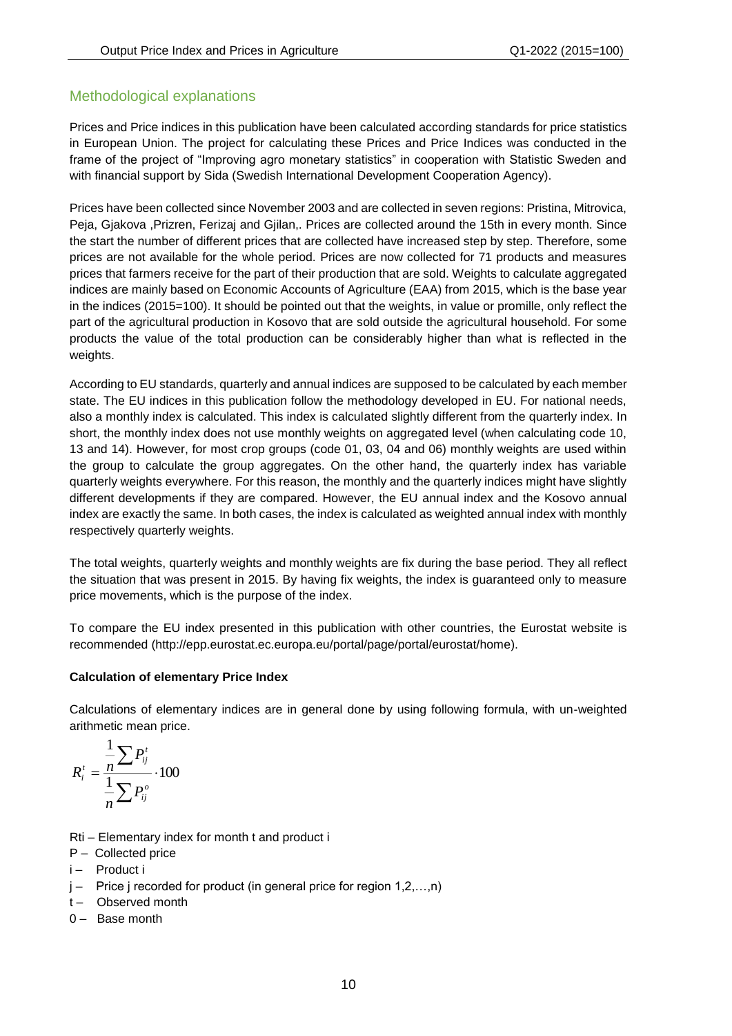## Methodological explanations

Prices and Price indices in this publication have been calculated according standards for price statistics in European Union. The project for calculating these Prices and Price Indices was conducted in the frame of the project of "Improving agro monetary statistics" in cooperation with Statistic Sweden and with financial support by Sida (Swedish International Development Cooperation Agency).

Prices have been collected since November 2003 and are collected in seven regions: Pristina, Mitrovica, Peja, Gjakova ,Prizren, Ferizaj and Gjilan,. Prices are collected around the 15th in every month. Since the start the number of different prices that are collected have increased step by step. Therefore, some prices are not available for the whole period. Prices are now collected for 71 products and measures prices that farmers receive for the part of their production that are sold. Weights to calculate aggregated indices are mainly based on Economic Accounts of Agriculture (EAA) from 2015, which is the base year in the indices (2015=100). It should be pointed out that the weights, in value or promille, only reflect the part of the agricultural production in Kosovo that are sold outside the agricultural household. For some products the value of the total production can be considerably higher than what is reflected in the weights.

According to EU standards, quarterly and annual indices are supposed to be calculated by each member state. The EU indices in this publication follow the methodology developed in EU. For national needs, also a monthly index is calculated. This index is calculated slightly different from the quarterly index. In short, the monthly index does not use monthly weights on aggregated level (when calculating code 10, 13 and 14). However, for most crop groups (code 01, 03, 04 and 06) monthly weights are used within the group to calculate the group aggregates. On the other hand, the quarterly index has variable quarterly weights everywhere. For this reason, the monthly and the quarterly indices might have slightly different developments if they are compared. However, the EU annual index and the Kosovo annual index are exactly the same. In both cases, the index is calculated as weighted annual index with monthly respectively quarterly weights.

The total weights, quarterly weights and monthly weights are fix during the base period. They all reflect the situation that was present in 2015. By having fix weights, the index is guaranteed only to measure price movements, which is the purpose of the index.

To compare the EU index presented in this publication with other countries, the Eurostat website is recommended (http://epp.eurostat.ec.europa.eu/portal/page/portal/eurostat/home).

#### **Calculation of elementary Price Index**

Calculations of elementary indices are in general done by using following formula, with un-weighted arithmetic mean price.

$$
R_i^t = \frac{\frac{1}{n}\sum P_{ij}^t}{\frac{1}{n}\sum P_{ij}^o} \cdot 100
$$

- Rti Elementary index for month t and product i
- P Collected price
- i Product i
- $j -$  Price j recorded for product (in general price for region 1,2,...,n)
- t- Observed month
- 0 Base month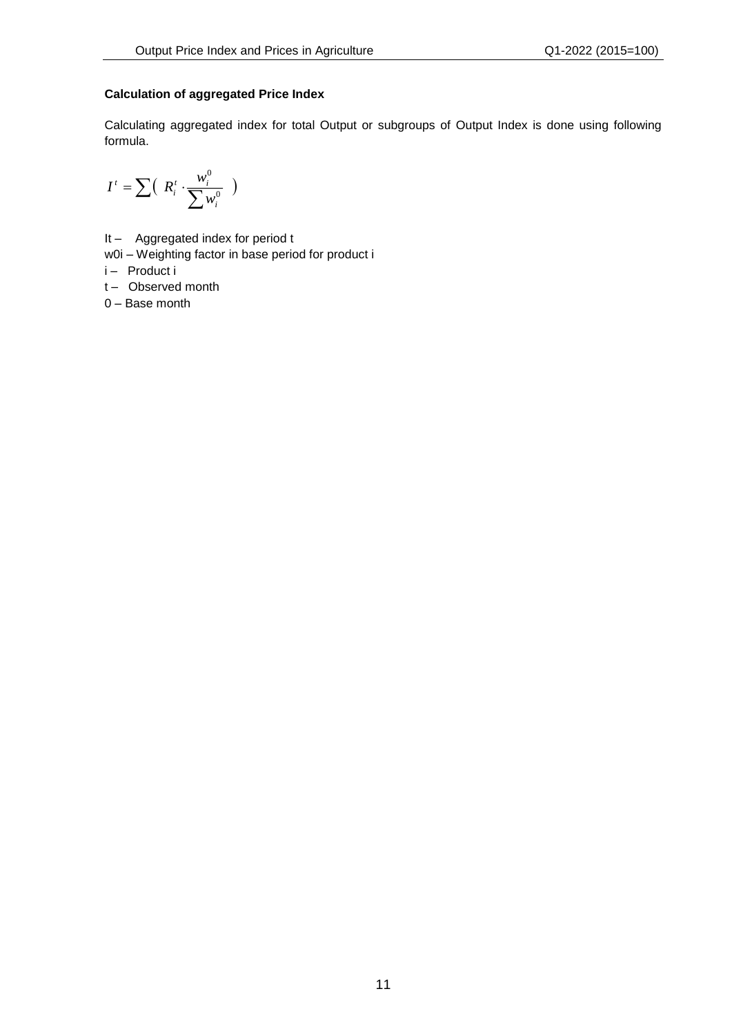#### **Calculation of aggregated Price Index**

Calculating aggregated index for total Output or subgroups of Output Index is done using following formula.

$$
I^t = \sum \Bigl( \begin{array}{c} R_i^t \cdot \frac{w_i^0}{\sum w_i^0} \end{array} \Bigr)
$$

- It Aggregated index for period t
- w0i Weighting factor in base period for product i

i – Product i

t- Observed month

0 – Base month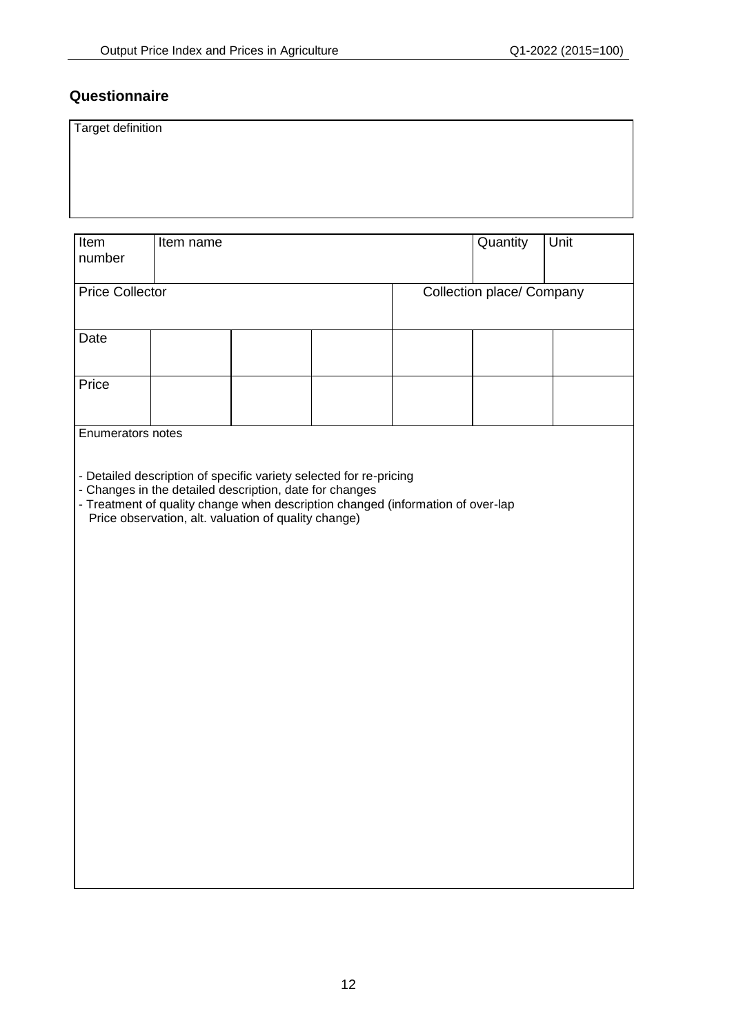## **Questionnaire**

| $\bigcap$<br>H <sub>cm</sub><br>$Hcm$ name |  |
|--------------------------------------------|--|

| Item<br>number         | Item name                                                                                                       |  |                                                                                                                                                       |                                  | Quantity | Unit |  |  |
|------------------------|-----------------------------------------------------------------------------------------------------------------|--|-------------------------------------------------------------------------------------------------------------------------------------------------------|----------------------------------|----------|------|--|--|
| <b>Price Collector</b> |                                                                                                                 |  |                                                                                                                                                       | <b>Collection place/ Company</b> |          |      |  |  |
| Date                   |                                                                                                                 |  |                                                                                                                                                       |                                  |          |      |  |  |
| Price                  |                                                                                                                 |  |                                                                                                                                                       |                                  |          |      |  |  |
| Enumerators notes      |                                                                                                                 |  |                                                                                                                                                       |                                  |          |      |  |  |
|                        | - Changes in the detailed description, date for changes<br>Price observation, alt. valuation of quality change) |  | - Detailed description of specific variety selected for re-pricing<br>- Treatment of quality change when description changed (information of over-lap |                                  |          |      |  |  |
|                        |                                                                                                                 |  |                                                                                                                                                       |                                  |          |      |  |  |